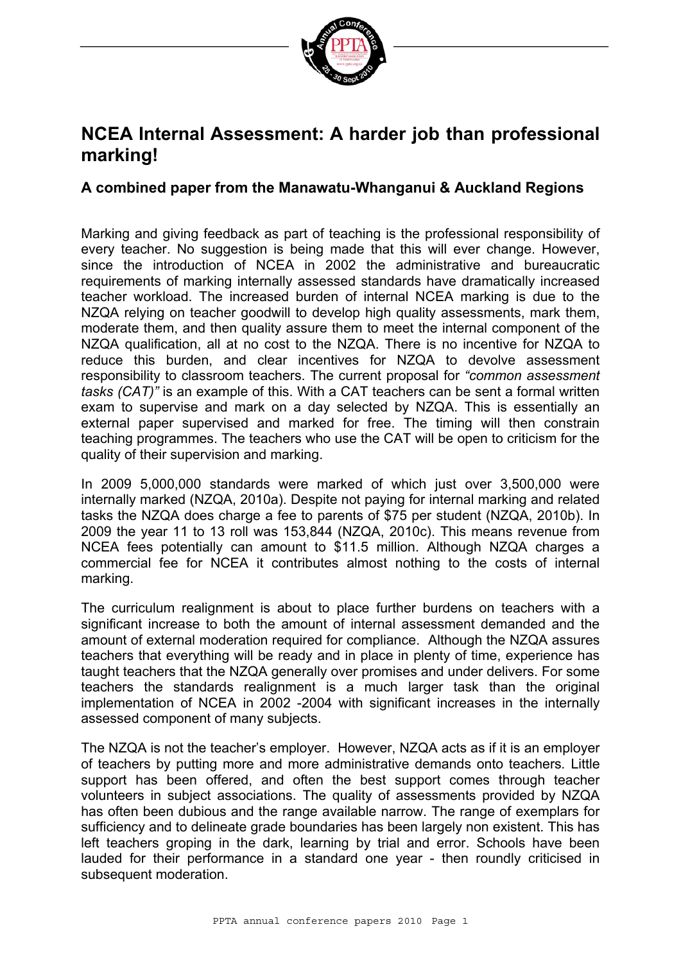

### **NCEA Internal Assessment: A harder job than professional marking!**

#### **A combined paper from the Manawatu-Whanganui & Auckland Regions**

Marking and giving feedback as part of teaching is the professional responsibility of every teacher. No suggestion is being made that this will ever change. However, since the introduction of NCEA in 2002 the administrative and bureaucratic requirements of marking internally assessed standards have dramatically increased teacher workload. The increased burden of internal NCEA marking is due to the NZQA relying on teacher goodwill to develop high quality assessments, mark them, moderate them, and then quality assure them to meet the internal component of the NZQA qualification, all at no cost to the NZQA. There is no incentive for NZQA to reduce this burden, and clear incentives for NZQA to devolve assessment responsibility to classroom teachers. The current proposal for *"common assessment tasks (CAT)"* is an example of this. With a CAT teachers can be sent a formal written exam to supervise and mark on a day selected by NZQA. This is essentially an external paper supervised and marked for free. The timing will then constrain teaching programmes. The teachers who use the CAT will be open to criticism for the quality of their supervision and marking.

In 2009 5,000,000 standards were marked of which just over 3,500,000 were internally marked (NZQA, 2010a). Despite not paying for internal marking and related tasks the NZQA does charge a fee to parents of \$75 per student (NZQA, 2010b). In 2009 the year 11 to 13 roll was 153,844 (NZQA, 2010c). This means revenue from NCEA fees potentially can amount to \$11.5 million. Although NZQA charges a commercial fee for NCEA it contributes almost nothing to the costs of internal marking.

The curriculum realignment is about to place further burdens on teachers with a significant increase to both the amount of internal assessment demanded and the amount of external moderation required for compliance. Although the NZQA assures teachers that everything will be ready and in place in plenty of time, experience has taught teachers that the NZQA generally over promises and under delivers. For some teachers the standards realignment is a much larger task than the original implementation of NCEA in 2002 -2004 with significant increases in the internally assessed component of many subjects.

The NZQA is not the teacher's employer. However, NZQA acts as if it is an employer of teachers by putting more and more administrative demands onto teachers*.* Little support has been offered, and often the best support comes through teacher volunteers in subject associations. The quality of assessments provided by NZQA has often been dubious and the range available narrow. The range of exemplars for sufficiency and to delineate grade boundaries has been largely non existent. This has left teachers groping in the dark, learning by trial and error. Schools have been lauded for their performance in a standard one year - then roundly criticised in subsequent moderation.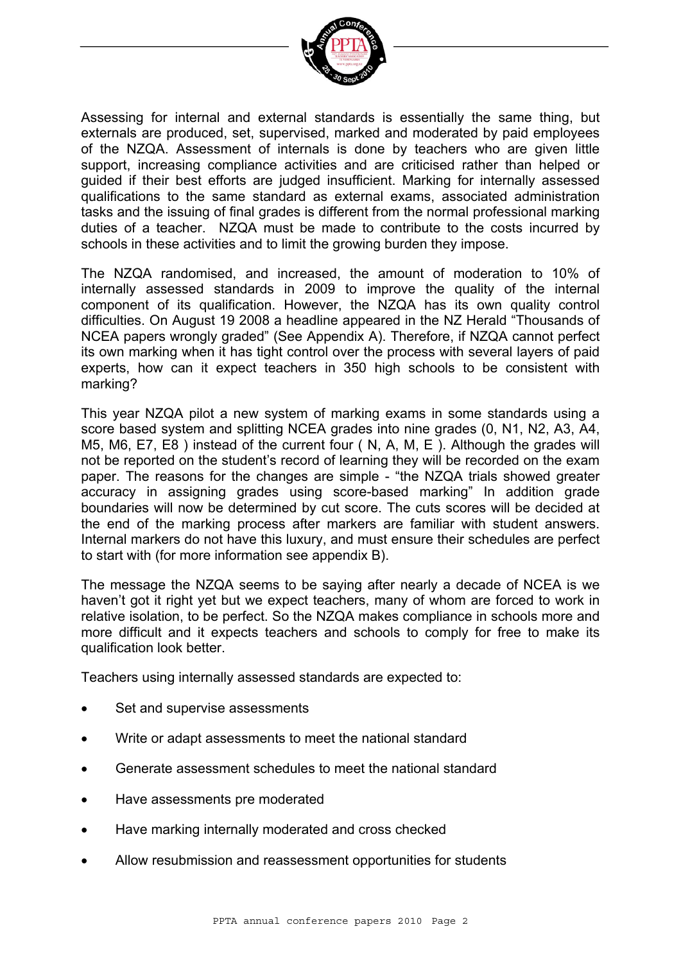

Assessing for internal and external standards is essentially the same thing, but externals are produced, set, supervised, marked and moderated by paid employees of the NZQA. Assessment of internals is done by teachers who are given little support, increasing compliance activities and are criticised rather than helped or guided if their best efforts are judged insufficient. Marking for internally assessed qualifications to the same standard as external exams, associated administration tasks and the issuing of final grades is different from the normal professional marking duties of a teacher. NZQA must be made to contribute to the costs incurred by schools in these activities and to limit the growing burden they impose.

The NZQA randomised, and increased, the amount of moderation to 10% of internally assessed standards in 2009 to improve the quality of the internal component of its qualification. However, the NZQA has its own quality control difficulties. On August 19 2008 a headline appeared in the NZ Herald "Thousands of NCEA papers wrongly graded" (See Appendix A). Therefore, if NZQA cannot perfect its own marking when it has tight control over the process with several layers of paid experts, how can it expect teachers in 350 high schools to be consistent with marking?

This year NZQA pilot a new system of marking exams in some standards using a score based system and splitting NCEA grades into nine grades (0, N1, N2, A3, A4, M5, M6, E7, E8 ) instead of the current four ( N, A, M, E ). Although the grades will not be reported on the student's record of learning they will be recorded on the exam paper. The reasons for the changes are simple - "the NZQA trials showed greater accuracy in assigning grades using score-based marking" In addition grade boundaries will now be determined by cut score. The cuts scores will be decided at the end of the marking process after markers are familiar with student answers. Internal markers do not have this luxury, and must ensure their schedules are perfect to start with (for more information see appendix B).

The message the NZQA seems to be saying after nearly a decade of NCEA is we haven't got it right yet but we expect teachers, many of whom are forced to work in relative isolation, to be perfect. So the NZQA makes compliance in schools more and more difficult and it expects teachers and schools to comply for free to make its qualification look better.

Teachers using internally assessed standards are expected to:

- Set and supervise assessments
- Write or adapt assessments to meet the national standard
- Generate assessment schedules to meet the national standard
- Have assessments pre moderated
- Have marking internally moderated and cross checked
- Allow resubmission and reassessment opportunities for students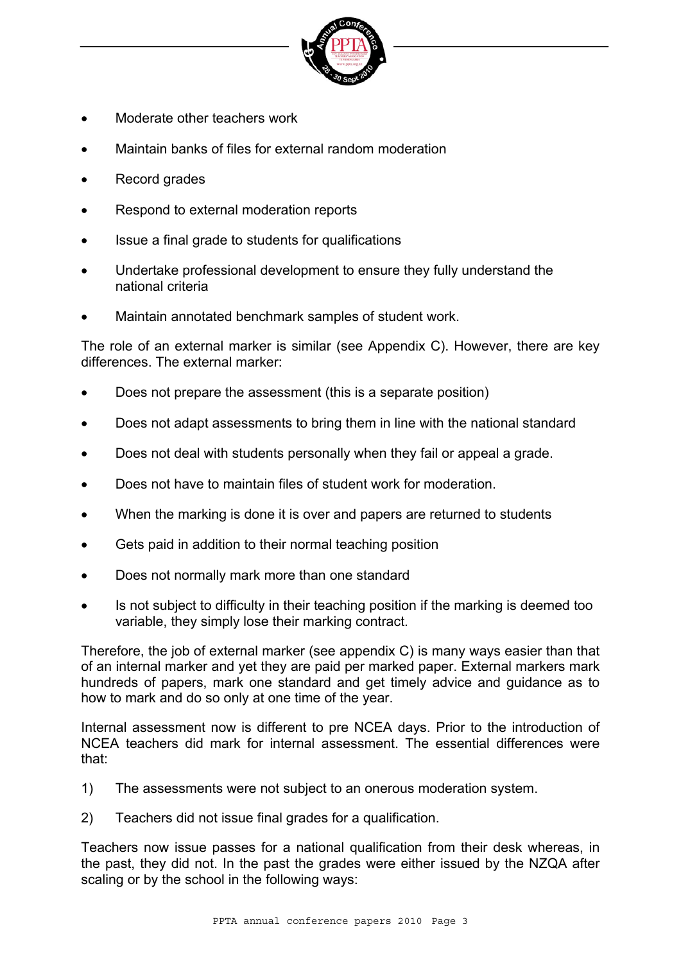

- Moderate other teachers work
- Maintain banks of files for external random moderation
- Record grades
- Respond to external moderation reports
- Issue a final grade to students for qualifications
- Undertake professional development to ensure they fully understand the national criteria
- Maintain annotated benchmark samples of student work.

The role of an external marker is similar (see Appendix C). However, there are key differences. The external marker:

- Does not prepare the assessment (this is a separate position)
- Does not adapt assessments to bring them in line with the national standard
- Does not deal with students personally when they fail or appeal a grade.
- Does not have to maintain files of student work for moderation.
- When the marking is done it is over and papers are returned to students
- Gets paid in addition to their normal teaching position
- Does not normally mark more than one standard
- Is not subject to difficulty in their teaching position if the marking is deemed too variable, they simply lose their marking contract.

Therefore, the job of external marker (see appendix C) is many ways easier than that of an internal marker and yet they are paid per marked paper. External markers mark hundreds of papers, mark one standard and get timely advice and guidance as to how to mark and do so only at one time of the year.

Internal assessment now is different to pre NCEA days. Prior to the introduction of NCEA teachers did mark for internal assessment. The essential differences were that:

- 1) The assessments were not subject to an onerous moderation system.
- 2) Teachers did not issue final grades for a qualification.

Teachers now issue passes for a national qualification from their desk whereas, in the past, they did not. In the past the grades were either issued by the NZQA after scaling or by the school in the following ways: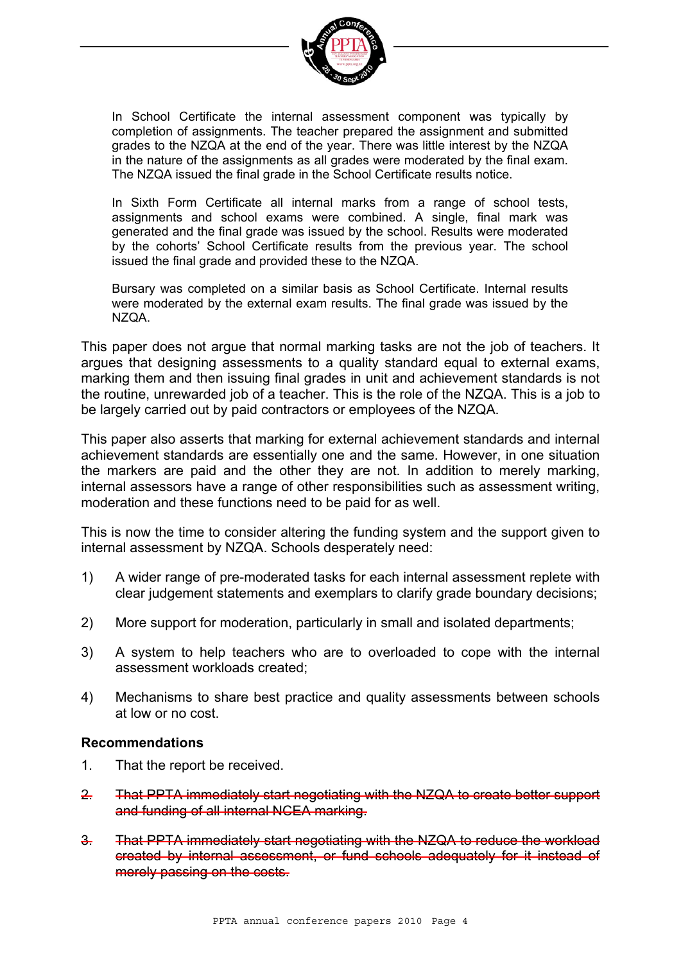

In School Certificate the internal assessment component was typically by completion of assignments. The teacher prepared the assignment and submitted grades to the NZQA at the end of the year. There was little interest by the NZQA in the nature of the assignments as all grades were moderated by the final exam. The NZQA issued the final grade in the School Certificate results notice.

In Sixth Form Certificate all internal marks from a range of school tests, assignments and school exams were combined. A single, final mark was generated and the final grade was issued by the school. Results were moderated by the cohorts' School Certificate results from the previous year. The school issued the final grade and provided these to the NZQA.

Bursary was completed on a similar basis as School Certificate. Internal results were moderated by the external exam results. The final grade was issued by the NZQA.

This paper does not argue that normal marking tasks are not the job of teachers. It argues that designing assessments to a quality standard equal to external exams, marking them and then issuing final grades in unit and achievement standards is not the routine, unrewarded job of a teacher. This is the role of the NZQA. This is a job to be largely carried out by paid contractors or employees of the NZQA.

This paper also asserts that marking for external achievement standards and internal achievement standards are essentially one and the same. However, in one situation the markers are paid and the other they are not. In addition to merely marking, internal assessors have a range of other responsibilities such as assessment writing, moderation and these functions need to be paid for as well.

This is now the time to consider altering the funding system and the support given to internal assessment by NZQA. Schools desperately need:

- 1) A wider range of pre-moderated tasks for each internal assessment replete with clear judgement statements and exemplars to clarify grade boundary decisions;
- 2) More support for moderation, particularly in small and isolated departments;
- 3) A system to help teachers who are to overloaded to cope with the internal assessment workloads created;
- 4) Mechanisms to share best practice and quality assessments between schools at low or no cost.

#### **Recommendations**

- 1. That the report be received.
- 2. That PPTA immediately start negotiating with the NZQA to create better support and funding of all internal NCEA marking.
- 3. That PPTA immediately start negotiating with the NZQA to reduce the workload created by internal assessment, or fund schools adequately for it instead of merely passing on the costs.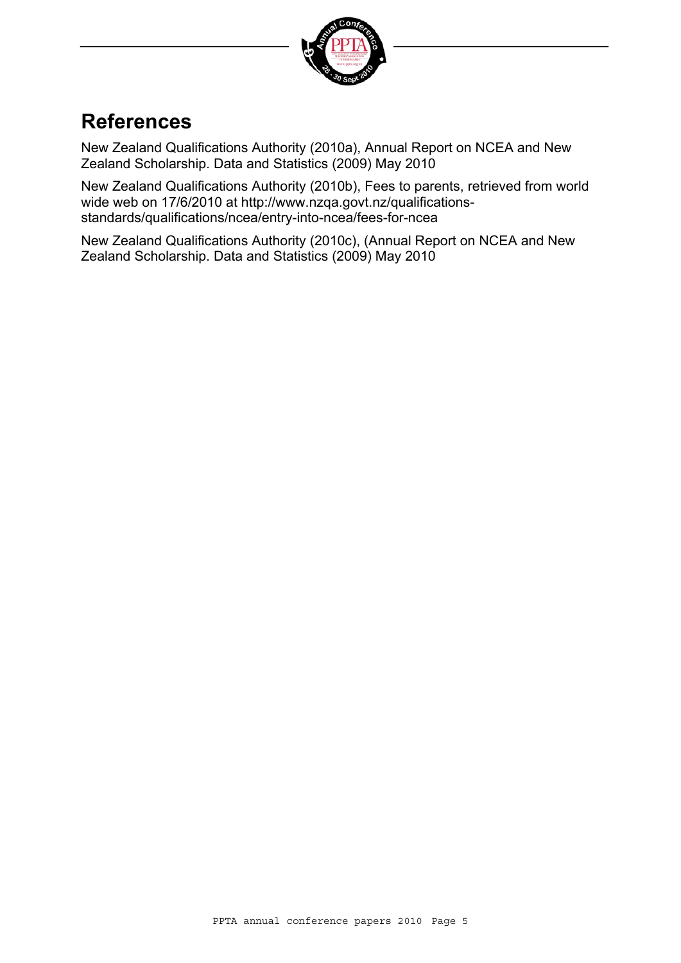

## **References**

New Zealand Qualifications Authority (2010a), Annual Report on NCEA and New Zealand Scholarship. Data and Statistics (2009) May 2010

New Zealand Qualifications Authority (2010b), Fees to parents, retrieved from world wide web on 17/6/2010 at http://www.nzqa.govt.nz/qualificationsstandards/qualifications/ncea/entry-into-ncea/fees-for-ncea

New Zealand Qualifications Authority (2010c), (Annual Report on NCEA and New Zealand Scholarship. Data and Statistics (2009) May 2010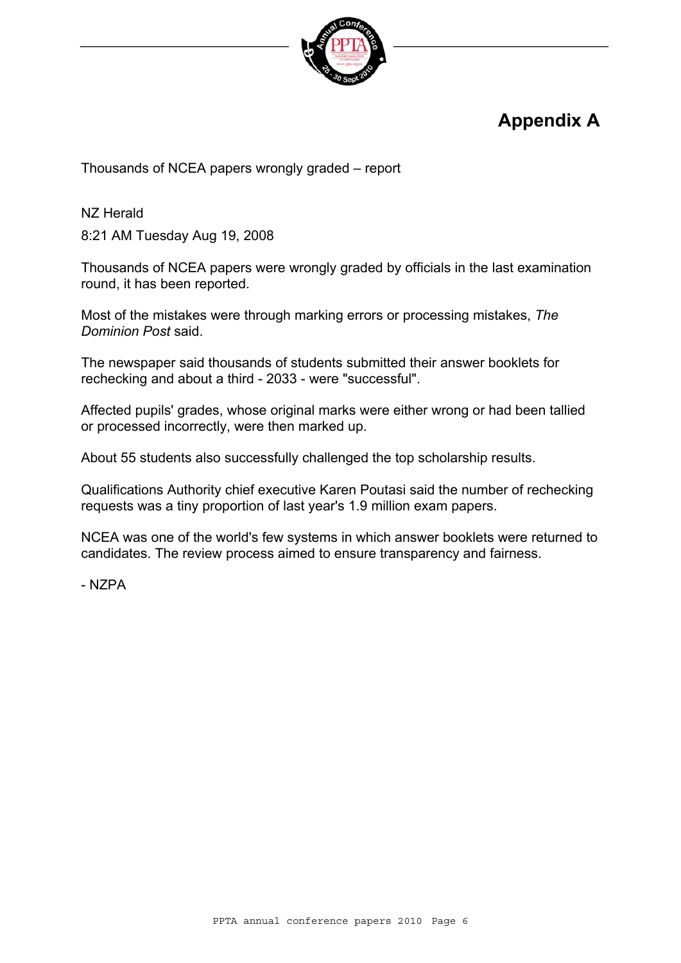

## **Appendix A**

Thousands of NCEA papers wrongly graded – report

NZ Herald

8:21 AM Tuesday Aug 19, 2008

Thousands of NCEA papers were wrongly graded by officials in the last examination round, it has been reported.

Most of the mistakes were through marking errors or processing mistakes, *The Dominion Post* said.

The newspaper said thousands of students submitted their answer booklets for rechecking and about a third - 2033 - were "successful".

Affected pupils' grades, whose original marks were either wrong or had been tallied or processed incorrectly, were then marked up.

About 55 students also successfully challenged the top scholarship results.

Qualifications Authority chief executive Karen Poutasi said the number of rechecking requests was a tiny proportion of last year's 1.9 million exam papers.

NCEA was one of the world's few systems in which answer booklets were returned to candidates. The review process aimed to ensure transparency and fairness.

- NZPA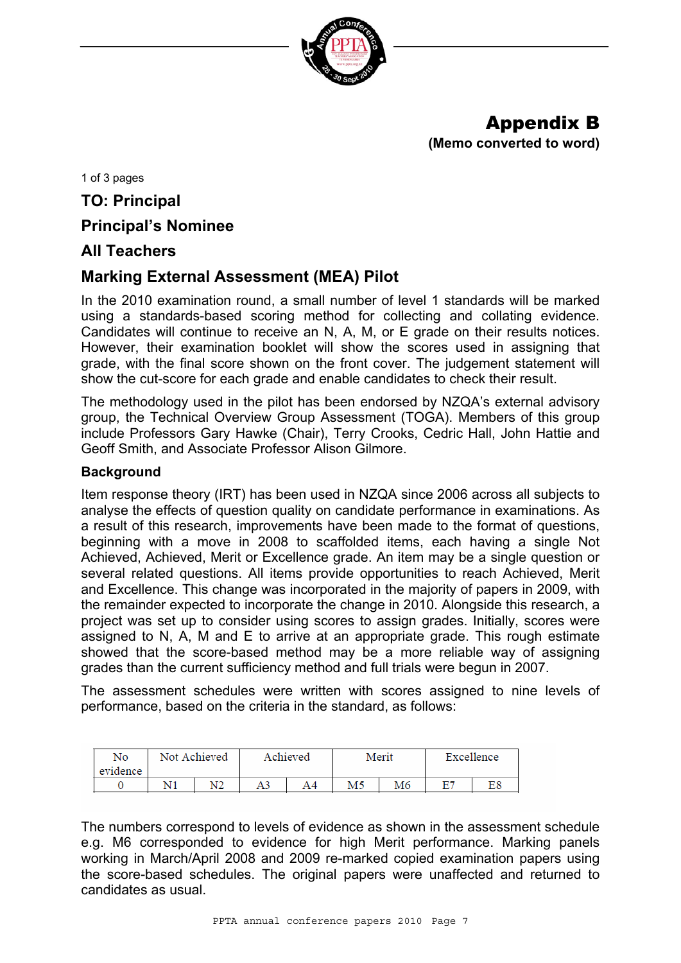

## Appendix B

**(Memo converted to word)** 

1 of 3 pages

#### **TO: Principal**

#### **Principal's Nominee**

#### **All Teachers**

#### **Marking External Assessment (MEA) Pilot**

In the 2010 examination round, a small number of level 1 standards will be marked using a standards-based scoring method for collecting and collating evidence. Candidates will continue to receive an N, A, M, or E grade on their results notices. However, their examination booklet will show the scores used in assigning that grade, with the final score shown on the front cover. The judgement statement will show the cut-score for each grade and enable candidates to check their result.

The methodology used in the pilot has been endorsed by NZQA's external advisory group, the Technical Overview Group Assessment (TOGA). Members of this group include Professors Gary Hawke (Chair), Terry Crooks, Cedric Hall, John Hattie and Geoff Smith, and Associate Professor Alison Gilmore.

#### **Background**

Item response theory (IRT) has been used in NZQA since 2006 across all subjects to analyse the effects of question quality on candidate performance in examinations. As a result of this research, improvements have been made to the format of questions, beginning with a move in 2008 to scaffolded items, each having a single Not Achieved, Achieved, Merit or Excellence grade. An item may be a single question or several related questions. All items provide opportunities to reach Achieved, Merit and Excellence. This change was incorporated in the majority of papers in 2009, with the remainder expected to incorporate the change in 2010. Alongside this research, a project was set up to consider using scores to assign grades. Initially, scores were assigned to N, A, M and E to arrive at an appropriate grade. This rough estimate showed that the score-based method may be a more reliable way of assigning grades than the current sufficiency method and full trials were begun in 2007.

The assessment schedules were written with scores assigned to nine levels of performance, based on the criteria in the standard, as follows:

| No<br>evidence | Not Achieved |    | Achieved |    | Merit |  | Excellence |    |
|----------------|--------------|----|----------|----|-------|--|------------|----|
|                |              | N2 | A3       | A4 | M5    |  | 67         | E8 |

The numbers correspond to levels of evidence as shown in the assessment schedule e.g. M6 corresponded to evidence for high Merit performance. Marking panels working in March/April 2008 and 2009 re-marked copied examination papers using the score-based schedules. The original papers were unaffected and returned to candidates as usual.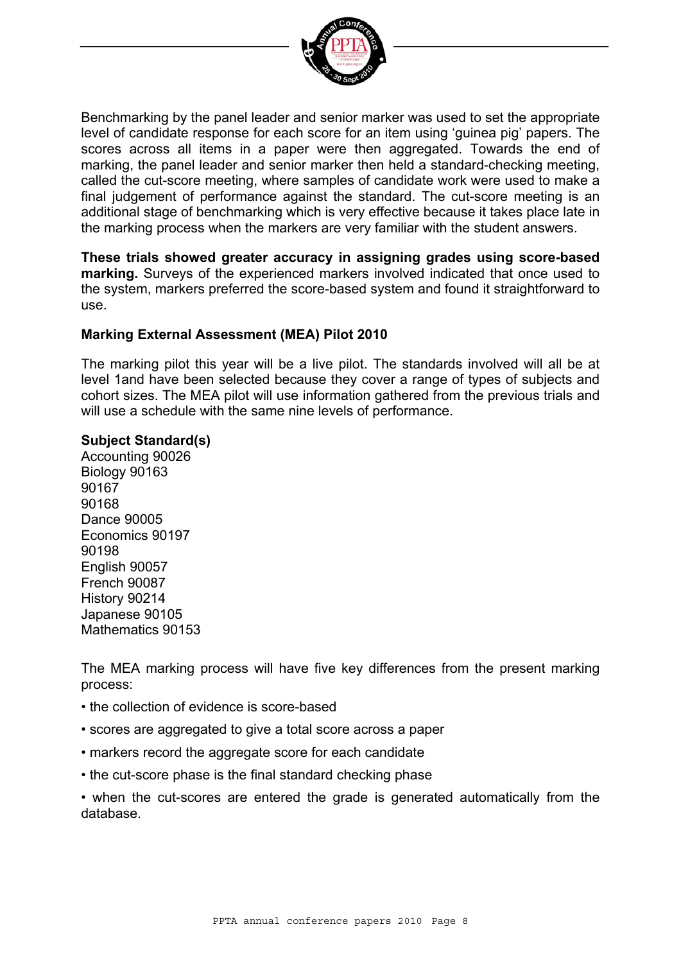

Benchmarking by the panel leader and senior marker was used to set the appropriate level of candidate response for each score for an item using 'guinea pig' papers. The scores across all items in a paper were then aggregated. Towards the end of marking, the panel leader and senior marker then held a standard-checking meeting, called the cut-score meeting, where samples of candidate work were used to make a final judgement of performance against the standard. The cut-score meeting is an additional stage of benchmarking which is very effective because it takes place late in the marking process when the markers are very familiar with the student answers.

**These trials showed greater accuracy in assigning grades using score-based marking.** Surveys of the experienced markers involved indicated that once used to the system, markers preferred the score-based system and found it straightforward to use.

#### **Marking External Assessment (MEA) Pilot 2010**

The marking pilot this year will be a live pilot. The standards involved will all be at level 1and have been selected because they cover a range of types of subjects and cohort sizes. The MEA pilot will use information gathered from the previous trials and will use a schedule with the same nine levels of performance.

#### **Subject Standard(s)**

Accounting 90026 Biology 90163 90167 90168 Dance 90005 Economics 90197 90198 English 90057 French 90087 History 90214 Japanese 90105 Mathematics 90153

The MEA marking process will have five key differences from the present marking process:

- the collection of evidence is score-based
- scores are aggregated to give a total score across a paper
- markers record the aggregate score for each candidate
- the cut-score phase is the final standard checking phase

• when the cut-scores are entered the grade is generated automatically from the database.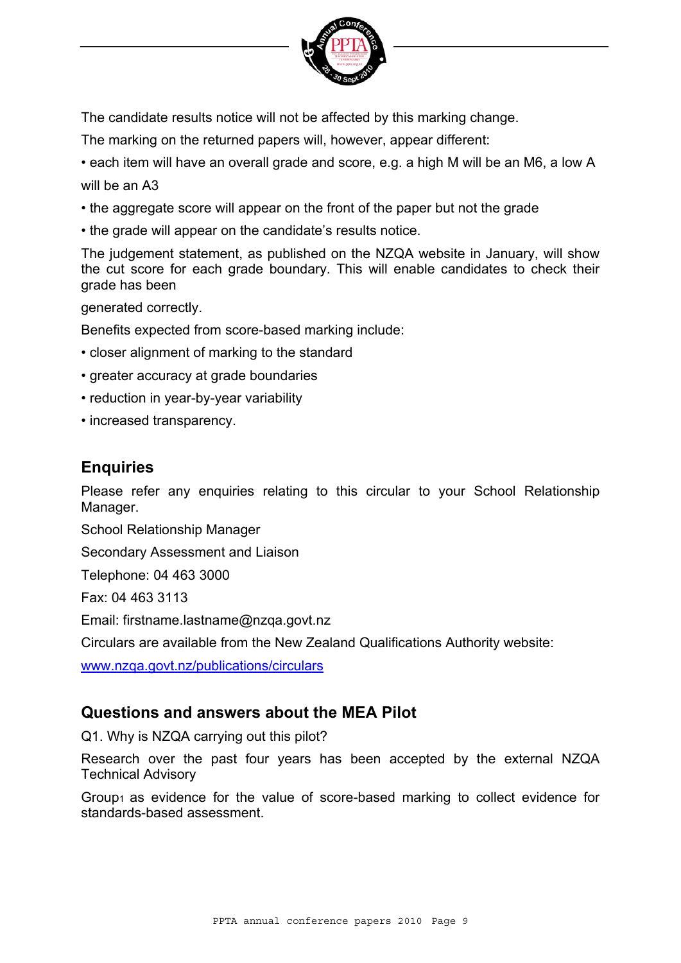

The candidate results notice will not be affected by this marking change.

The marking on the returned papers will, however, appear different:

• each item will have an overall grade and score, e.g. a high M will be an M6, a low A will be an A3

- the aggregate score will appear on the front of the paper but not the grade
- the grade will appear on the candidate's results notice.

The judgement statement, as published on the NZQA website in January, will show the cut score for each grade boundary. This will enable candidates to check their grade has been

generated correctly.

Benefits expected from score-based marking include:

- closer alignment of marking to the standard
- greater accuracy at grade boundaries
- reduction in year-by-year variability
- increased transparency.

#### **Enquiries**

Please refer any enquiries relating to this circular to your School Relationship Manager.

School Relationship Manager

Secondary Assessment and Liaison

Telephone: 04 463 3000

Fax: 04 463 3113

Email: firstname.lastname@nzqa.govt.nz

Circulars are available from the New Zealand Qualifications Authority website:

[www.nzqa.govt.nz/publications/circulars](http://www.nzqa.govt.nz/publications/circulars)

#### **Questions and answers about the MEA Pilot**

Q1. Why is NZQA carrying out this pilot?

Research over the past four years has been accepted by the external NZQA Technical Advisory

Group1 as evidence for the value of score-based marking to collect evidence for standards-based assessment.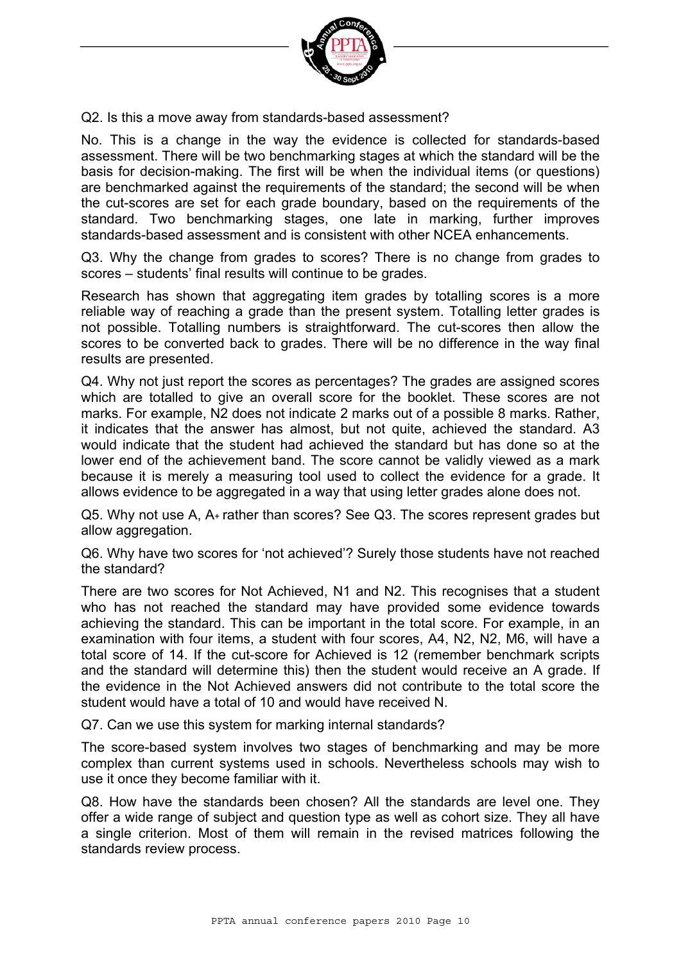

Q2. Is this a move away from standards-based assessment?

No. This is a change in the way the evidence is collected for standards-based assessment. There will be two benchmarking stages at which the standard will be the basis for decision-making. The first will be when the individual items (or questions) are benchmarked against the requirements of the standard; the second will be when the cut-scores are set for each grade boundary, based on the requirements of the standard. Two benchmarking stages, one late in marking, further improves standards-based assessment and is consistent with other NCEA enhancements.

Q3. Why the change from grades to scores? There is no change from grades to scores – students' final results will continue to be grades.

Research has shown that aggregating item grades by totalling scores is a more reliable way of reaching a grade than the present system. Totalling letter grades is not possible. Totalling numbers is straightforward. The cut-scores then allow the scores to be converted back to grades. There will be no difference in the way final results are presented.

Q4. Why not just report the scores as percentages? The grades are assigned scores which are totalled to give an overall score for the booklet. These scores are not marks. For example, N2 does not indicate 2 marks out of a possible 8 marks. Rather, it indicates that the answer has almost, but not quite, achieved the standard. A3 would indicate that the student had achieved the standard but has done so at the lower end of the achievement band. The score cannot be validly viewed as a mark because it is merely a measuring tool used to collect the evidence for a grade. It allows evidence to be aggregated in a way that using letter grades alone does not.

Q5. Why not use A, A+ rather than scores? See Q3. The scores represent grades but allow aggregation.

Q6. Why have two scores for 'not achieved'? Surely those students have not reached the standard?

There are two scores for Not Achieved, N1 and N2. This recognises that a student who has not reached the standard may have provided some evidence towards achieving the standard. This can be important in the total score. For example, in an examination with four items, a student with four scores, A4, N2, N2, M6, will have a total score of 14. If the cut-score for Achieved is 12 (remember benchmark scripts and the standard will determine this) then the student would receive an A grade. If the evidence in the Not Achieved answers did not contribute to the total score the student would have a total of 10 and would have received N.

Q7. Can we use this system for marking internal standards?

The score-based system involves two stages of benchmarking and may be more complex than current systems used in schools. Nevertheless schools may wish to use it once they become familiar with it.

Q8. How have the standards been chosen? All the standards are level one. They offer a wide range of subject and question type as well as cohort size. They all have a single criterion. Most of them will remain in the revised matrices following the standards review process.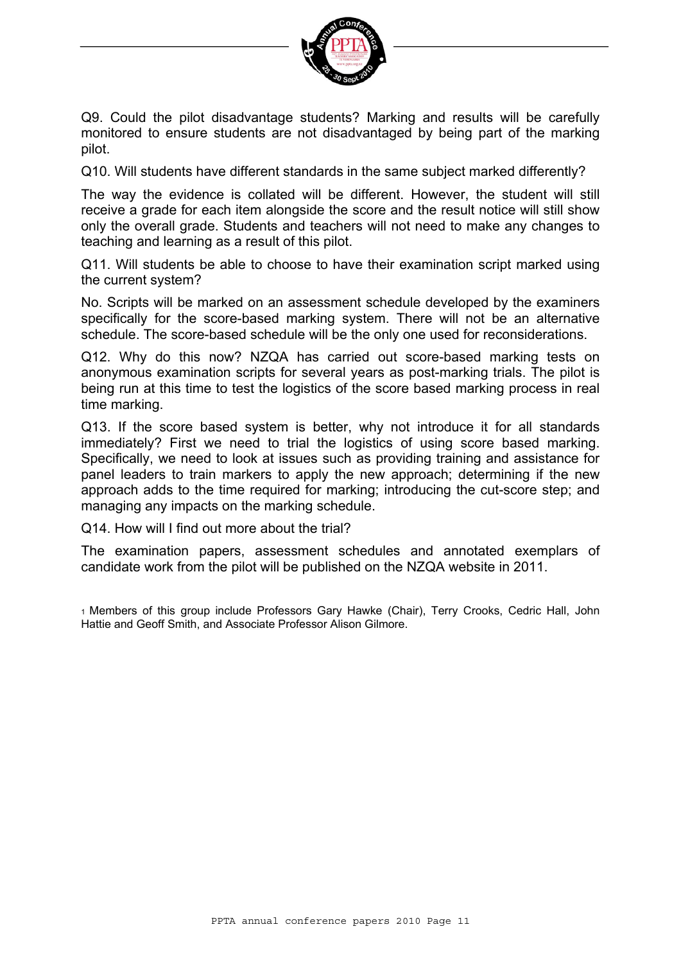

Q9. Could the pilot disadvantage students? Marking and results will be carefully monitored to ensure students are not disadvantaged by being part of the marking pilot.

Q10. Will students have different standards in the same subject marked differently?

The way the evidence is collated will be different. However, the student will still receive a grade for each item alongside the score and the result notice will still show only the overall grade. Students and teachers will not need to make any changes to teaching and learning as a result of this pilot.

Q11. Will students be able to choose to have their examination script marked using the current system?

No. Scripts will be marked on an assessment schedule developed by the examiners specifically for the score-based marking system. There will not be an alternative schedule. The score-based schedule will be the only one used for reconsiderations.

Q12. Why do this now? NZQA has carried out score-based marking tests on anonymous examination scripts for several years as post-marking trials. The pilot is being run at this time to test the logistics of the score based marking process in real time marking.

Q13. If the score based system is better, why not introduce it for all standards immediately? First we need to trial the logistics of using score based marking. Specifically, we need to look at issues such as providing training and assistance for panel leaders to train markers to apply the new approach; determining if the new approach adds to the time required for marking; introducing the cut-score step; and managing any impacts on the marking schedule.

Q14. How will I find out more about the trial?

The examination papers, assessment schedules and annotated exemplars of candidate work from the pilot will be published on the NZQA website in 2011.

1 Members of this group include Professors Gary Hawke (Chair), Terry Crooks, Cedric Hall, John Hattie and Geoff Smith, and Associate Professor Alison Gilmore.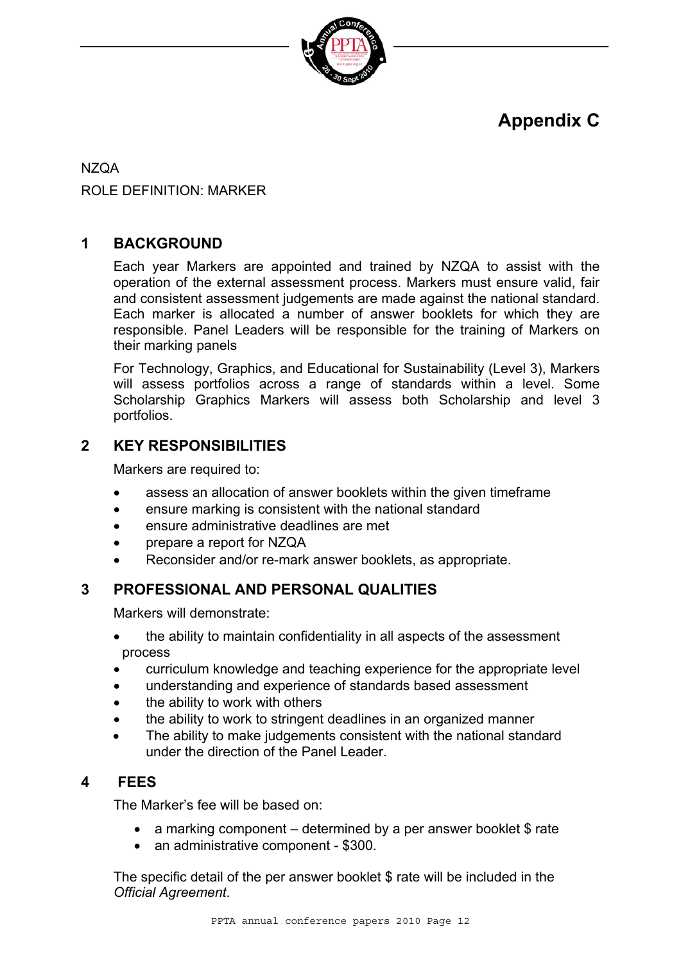

## **Appendix C**

NZQA ROLE DEFINITION: MARKER

#### **1 BACKGROUND**

Each year Markers are appointed and trained by NZQA to assist with the operation of the external assessment process. Markers must ensure valid, fair and consistent assessment judgements are made against the national standard. Each marker is allocated a number of answer booklets for which they are responsible. Panel Leaders will be responsible for the training of Markers on their marking panels

For Technology, Graphics, and Educational for Sustainability (Level 3), Markers will assess portfolios across a range of standards within a level. Some Scholarship Graphics Markers will assess both Scholarship and level 3 portfolios.

#### **2 KEY RESPONSIBILITIES**

Markers are required to:

- assess an allocation of answer booklets within the given timeframe
- ensure marking is consistent with the national standard
- ensure administrative deadlines are met
- prepare a report for NZQA
- Reconsider and/or re-mark answer booklets, as appropriate.

#### **3 PROFESSIONAL AND PERSONAL QUALITIES**

Markers will demonstrate:

- the ability to maintain confidentiality in all aspects of the assessment process
- curriculum knowledge and teaching experience for the appropriate level
- understanding and experience of standards based assessment
- the ability to work with others
- the ability to work to stringent deadlines in an organized manner
- The ability to make judgements consistent with the national standard under the direction of the Panel Leader.

#### **4 FEES**

The Marker's fee will be based on:

- a marking component determined by a per answer booklet \$ rate
- an administrative component \$300.

The specific detail of the per answer booklet \$ rate will be included in the *Official Agreement*.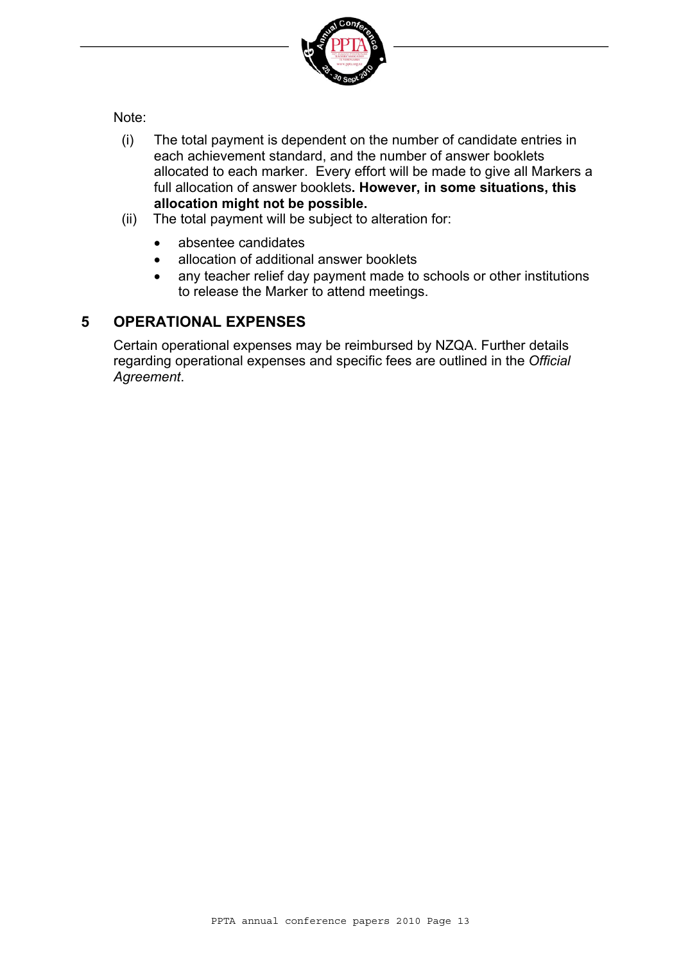

Note:

- (i) The total payment is dependent on the number of candidate entries in each achievement standard, and the number of answer booklets allocated to each marker. Every effort will be made to give all Markers a full allocation of answer booklets**. However, in some situations, this allocation might not be possible.**
- (ii) The total payment will be subject to alteration for:
	- absentee candidates
	- allocation of additional answer booklets
	- any teacher relief day payment made to schools or other institutions to release the Marker to attend meetings.

#### **5 OPERATIONAL EXPENSES**

Certain operational expenses may be reimbursed by NZQA. Further details regarding operational expenses and specific fees are outlined in the *Official Agreement*.